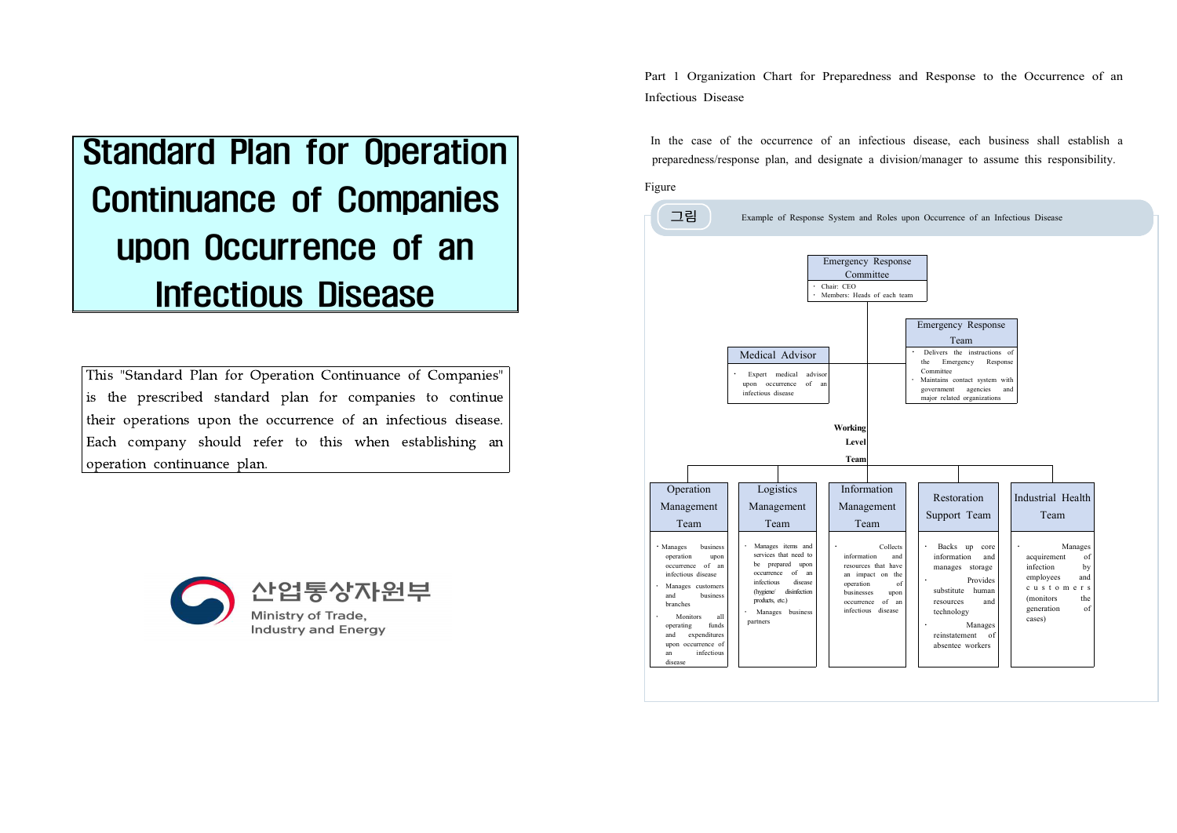# Standard Plan for Operation Continuance of Companies upon Occurrence of an Infectious Disease

This "Standard Plan for Operation Continuance of Companies" is the prescribed standard plan for companies to continue their operations upon the occurrence of an infectious disease. Each company should refer to this when establishing an operation continuance plan.



Part 1 Organization Chart for Preparedness and Response to the Occurrence of an Infectious Disease

In the case of the occurrence of an infectious disease, each business shall establish a preparedness/response plan, and designate a division/manager to assume this responsibility.

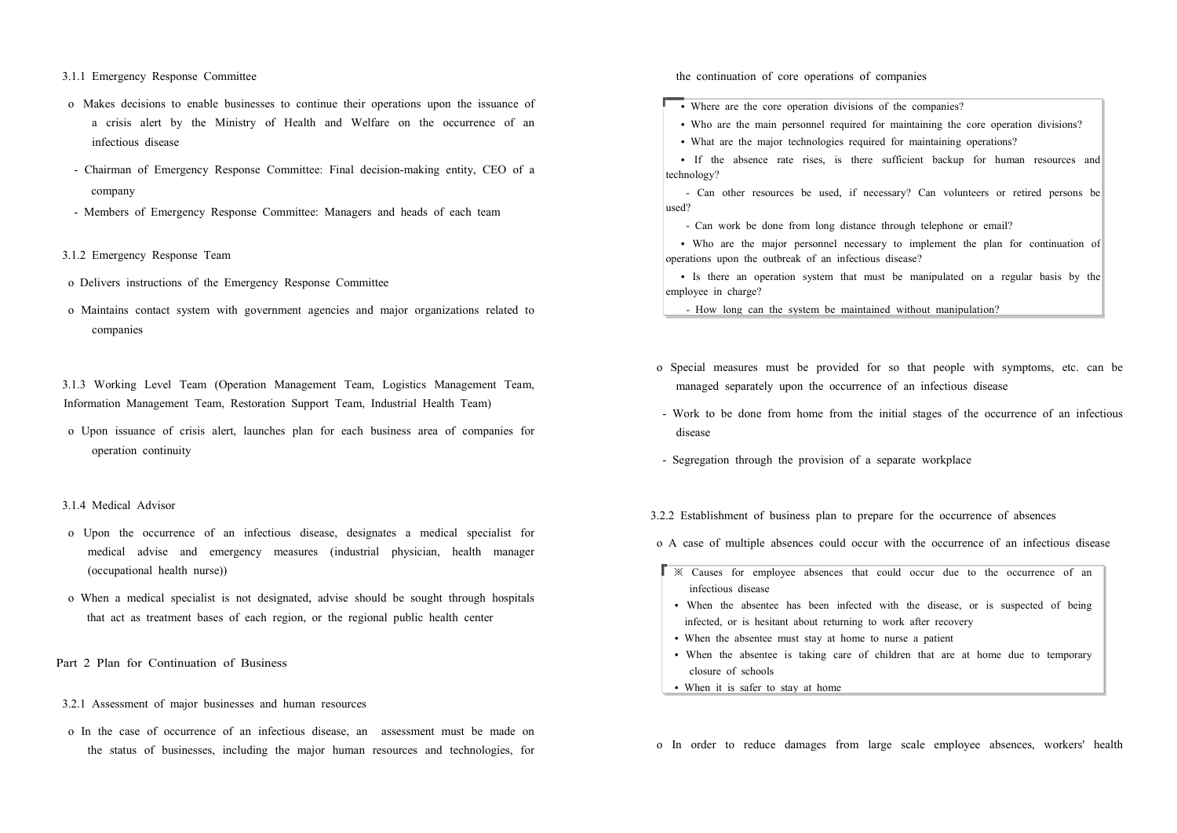3.1.1 Emergency Response Committee

- o Makes decisions to enable businesses to continue their operations upon the issuance of a crisis alert by the Ministry of Health and Welfare on the occurrence of an infectious disease
- Chairman of Emergency Response Committee: Final decision-making entity, CEO of a company
- Members of Emergency Response Committee: Managers and heads of each team
- 3.1.2 Emergency Response Team
- o Delivers instructions of the Emergency Response Committee
- o Maintains contact system with government agencies and major organizations related to companies

3.1.3 Working Level Team (Operation Management Team, Logistics Management Team, Information Management Team, Restoration Support Team, Industrial Health Team)

 o Upon issuance of crisis alert, launches plan for each business area of companies for operation continuity

## 3.1.4 Medical Advisor

- o Upon the occurrence of an infectious disease, designates a medical specialist for medical advise and emergency measures (industrial physician, health manager (occupational health nurse))
- o When a medical specialist is not designated, advise should be sought through hospitals that act as treatment bases of each region, or the regional public health center
- Part 2 Plan for Continuation of Business
- 3.2.1 Assessment of major businesses and human resources
- o In the case of occurrence of an infectious disease, an assessment must be made on the status of businesses, including the major human resources and technologies, for

the continuation of core operations of companies

• Where are the core operation divisions of the companies?

• Who are the main personnel required for maintaining the core operation divisions?

• What are the major technologies required for maintaining operations?

• If the absence rate rises, is there sufficient backup for human resources and technology?

- Can other resources be used, if necessary? Can volunteers or retired persons be used?<br>- Can work be done from long distance through telephone or email?

• Who are the major personnel necessary to implement the plan for continuation of operations upon the outbreak of an infectious disease?

• Is there an operation system that must be manipulated on a regular basis by the employee in charge?

- How long can the system be maintained without manipulation?

- o Special measures must be provided for so that people with symptoms, etc. can be managed separately upon the occurrence of an infectious disease
- Work to be done from home from the initial stages of the occurrence of an infectious disease
- Segregation through the provision of a separate workplace

3.2.2 Establishment of business plan to prepare for the occurrence of absences

o A case of multiple absences could occur with the occurrence of an infectious disease

- $\mathbb{R}$   $\mathbb{X}$  Causes for employee absences that could occur due to the occurrence of an infectious disease
	- When the absentee has been infected with the disease, or is suspected of being infected, or is hesitant about returning to work after recovery
	- When the absentee must stay at home to nurse a patient
	- When the absentee is taking care of children that are at home due to temporary closure of schools
- When it is safer to stay at home

o In order to reduce damages from large scale employee absences, workers' health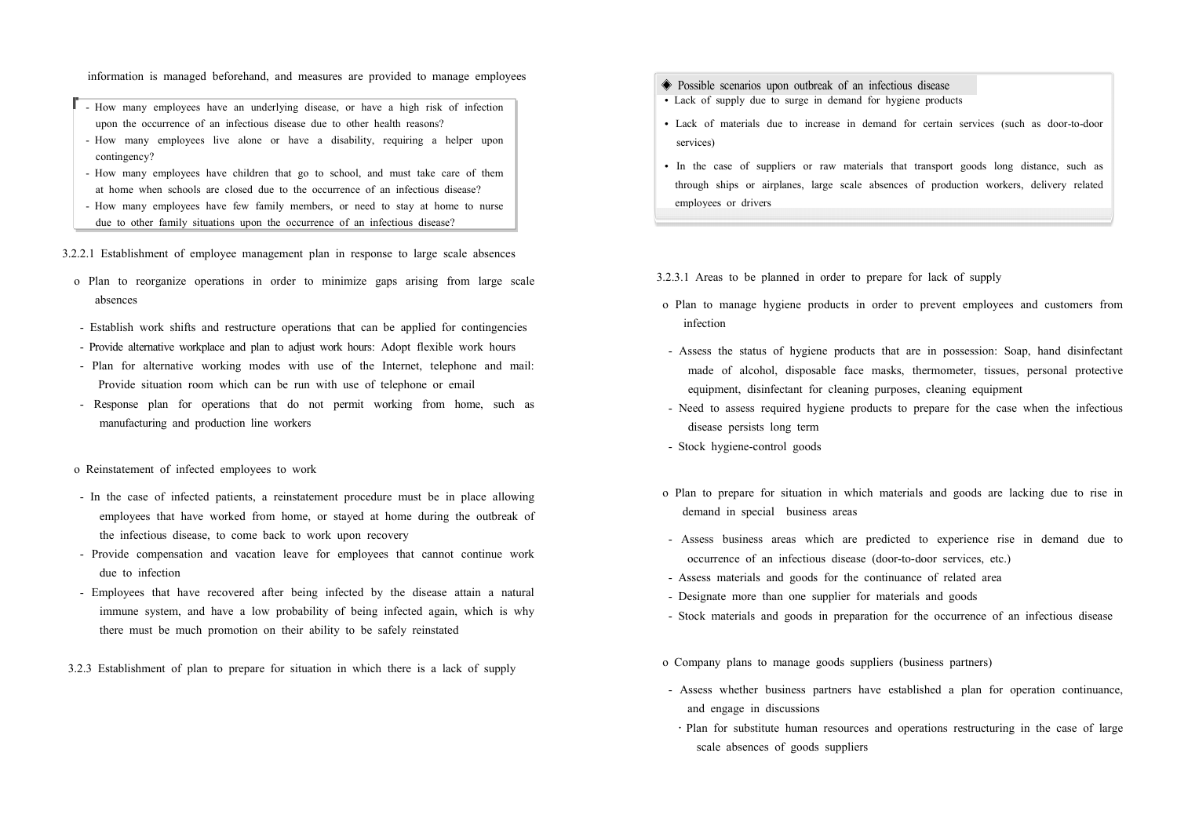information is managed beforehand, and measures are provided to manage employees

- How many employees have an underlying disease, or have a high risk of infection upon the occurrence of an infectious disease due to other health reasons?
- How many employees live alone or have a disability, requiring a helper upon contingency? - How many employees have children that go to school, and must take care of them
- 
- at home when schools are closed due to the occurrence of an infectious disease?<br>- How many employees have few family members, or need to stay at home to nurse<br>due to other family situations upon the occurrence of an infect

3.2.2.1 Establishment of employee management plan in response to large scale absences

- o Plan to reorganize operations in order to minimize gaps arising from large scale absences
- Establish work shifts and restructure operations that can be applied for contingencies - Provide alternative workplace and plan to adjust work hours: Adopt flexible work hours
- Plan for alternative working modes with use of the Internet, telephone and mail: Provide situation room which can be run with use of telephone or email
- Response plan for operations that do not permit working from home, such as manufacturing and production line workers

## o Reinstatement of infected employees to work

- In the case of infected patients, a reinstatement procedure must be in place allowing employees that have worked from home, or stayed at home during the outbreak of the infectious disease, to come back to work upon recovery
- Provide compensation and vacation leave for employees that cannot continue work due to infection
- Employees that have recovered after being infected by the disease attain a natural immune system, and have a low probability of being infected again, which is why there must be much promotion on their ability to be safely reinstated
- 3.2.3 Establishment of plan to prepare for situation in which there is a lack of supply
- ◈ Possible scenarios upon outbreak of an infectious disease
- Lack of supply due to surge in demand for hygiene products
- Lack of materials due to increase in demand for certain services (such as door-to-door services)
- In the case of suppliers or raw materials that transport goods long distance, such as through ships or airplanes, large scale absences of production workers, delivery related employees or drivers

3.2.3.1 Areas to be planned in order to prepare for lack of supply

- o Plan to manage hygiene products in order to prevent employees and customers from infection
- Assess the status of hygiene products that are in possession: Soap, hand disinfectant made of alcohol, disposable face masks, thermometer, tissues, personal protective equipment, disinfectant for cleaning purposes, cleaning equipment
- Need to assess required hygiene products to prepare for the case when the infectious disease persists long term
- Stock hygiene-control goods
- o Plan to prepare for situation in which materials and goods are lacking due to rise in demand in special business areas
- Assess business areas which are predicted to experience rise in demand due to occurrence of an infectious disease (door-to-door services, etc.)
- Assess materials and goods for the continuance of related area
- Designate more than one supplier for materials and goods
- Stock materials and goods in preparation for the occurrence of an infectious disease
- o Company plans to manage goods suppliers (business partners)
- Assess whether business partners have established a plan for operation continuance, and engage in discussions
	- ․Plan for substitute human resources and operations restructuring in the case of large scale absences of goods suppliers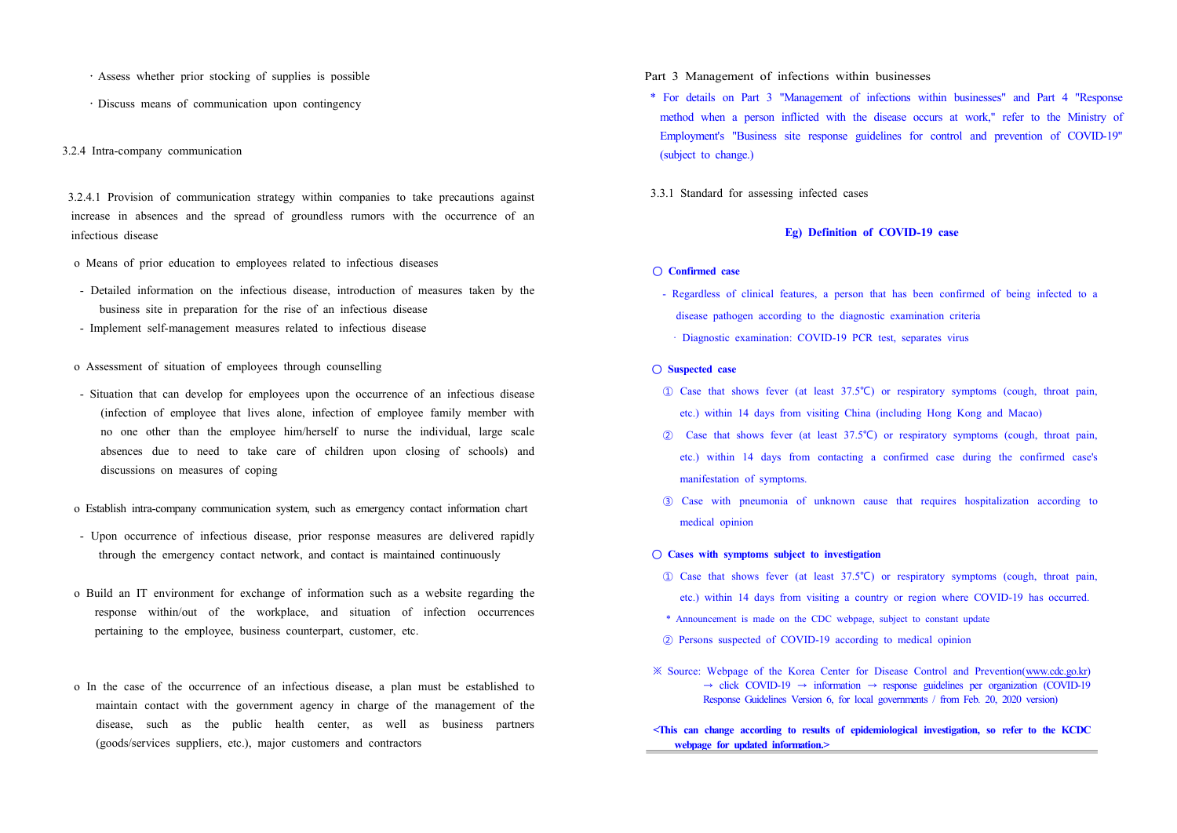- ․Assess whether prior stocking of supplies is possible
- ․Discuss means of communication upon contingency

## 3.2.4 Intra-company communication

 3.2.4.1 Provision of communication strategy within companies to take precautions against increase in absences and the spread of groundless rumors with the occurrence of an infectious disease

- o Means of prior education to employees related to infectious diseases
- Detailed information on the infectious disease, introduction of measures taken by the business site in preparation for the rise of an infectious disease
- Implement self-management measures related to infectious disease
- o Assessment of situation of employees through counselling
- Situation that can develop for employees upon the occurrence of an infectious disease (infection of employee that lives alone, infection of employee family member with no one other than the employee him/herself to nurse the individual, large scale absences due to need to take care of children upon closing of schools) and discussions on measures of coping
- o Establish intra-company communication system, such as emergency contact information chart
- Upon occurrence of infectious disease, prior response measures are delivered rapidly through the emergency contact network, and contact is maintained continuously
- o Build an IT environment for exchange of information such as a website regarding the response within/out of the workplace, and situation of infection occurrences pertaining to the employee, business counterpart, customer, etc.
- o In the case of the occurrence of an infectious disease, a plan must be established to maintain contact with the government agency in charge of the management of the disease, such as the public health center, as well as business partners (goods/services suppliers, etc.), major customers and contractors

## Part 3 Management of infections within businesses

- \* For details on Part 3 "Management of infections within businesses" and Part 4 "Response method when a person inflicted with the disease occurs at work," refer to the Ministry of Employment's "Business site response guidelines for control and prevention of COVID-19" (subject to change.)
- 3.3.1 Standard for assessing infected cases

## **Eg) Definition of COVID-19 case**

- **Confirmed case** 
	- Regardless of clinical features, a person that has been confirmed of being infected to a disease pathogen according to the diagnostic examination criteria
		- · Diagnostic examination: COVID-19 PCR test, separates virus

### **○ Suspected case**

- ① Case that shows fever (at least 37.5℃) or respiratory symptoms (cough, throat pain, etc.) within 14 days from visiting China (including Hong Kong and Macao)
- ② Case that shows fever (at least 37.5℃) or respiratory symptoms (cough, throat pain, etc.) within 14 days from contacting a confirmed case during the confirmed case's manifestation of symptoms.
- ③ Case with pneumonia of unknown cause that requires hospitalization according to medical opinion

## **○ Cases with symptoms subject to investigation**

- ① Case that shows fever (at least 37.5℃) or respiratory symptoms (cough, throat pain, etc.) within 14 days from visiting a country or region where COVID-19 has occurred.
- \* Announcement is made on the CDC webpage, subject to constant update
- ② Persons suspected of COVID-19 according to medical opinion
- ※ Source: Webpage of the Korea Center for Disease Control and Prevention(www.cdc.go.kr)  $\rightarrow$  click COVID-19  $\rightarrow$  information  $\rightarrow$  response guidelines per organization (COVID-19 Response Guidelines Version 6, for local governments / from Feb. 20, 2020 version)
- **<This can change according to results of epidemiological investigation, so refer to the KCDC webpage for updated information.>**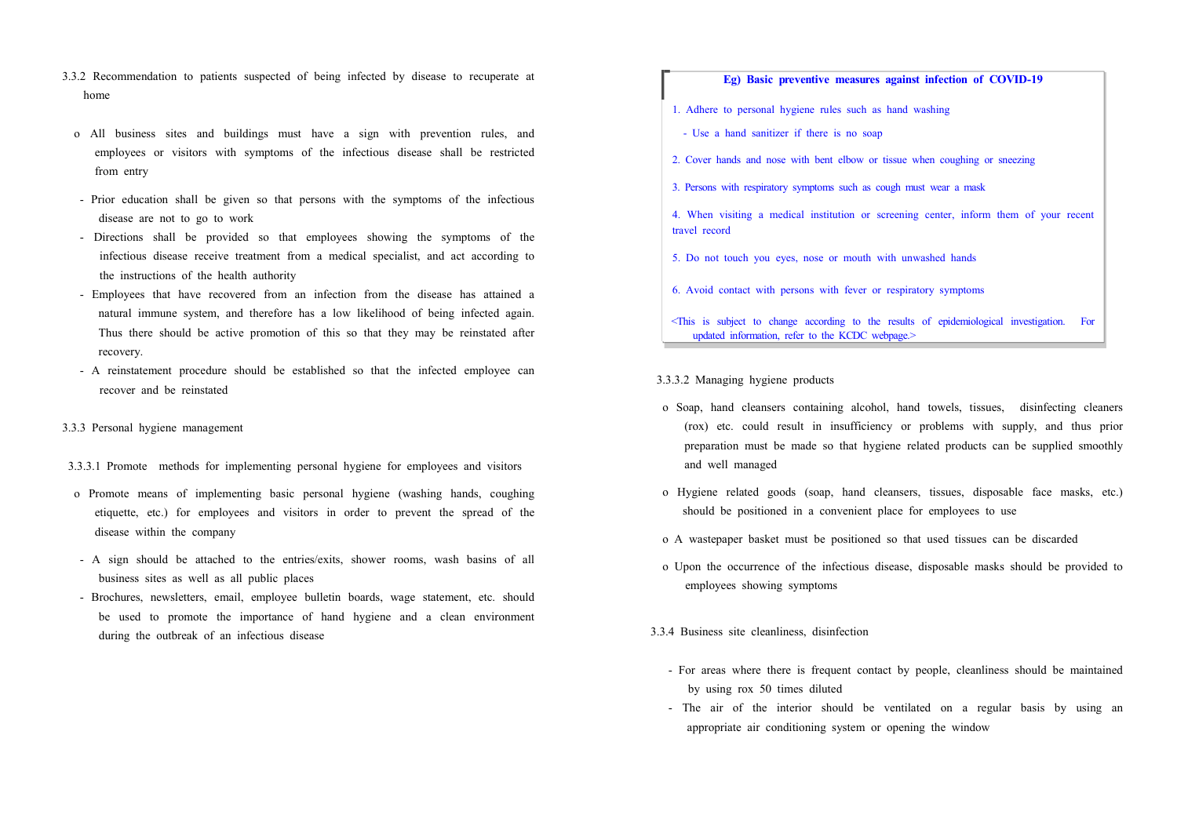- 3.3.2 Recommendation to patients suspected of being infected by disease to recuperate at home
	- o All business sites and buildings must have a sign with prevention rules, and employees or visitors with symptoms of the infectious disease shall be restricted from entry
	- Prior education shall be given so that persons with the symptoms of the infectious disease are not to go to work
	- Directions shall be provided so that employees showing the symptoms of the infectious disease receive treatment from a medical specialist, and act according to the instructions of the health authority
	- Employees that have recovered from an infection from the disease has attained a natural immune system, and therefore has a low likelihood of being infected again. Thus there should be active promotion of this so that they may be reinstated after recovery.
	- A reinstatement procedure should be established so that the infected employee can recover and be reinstated
- 3.3.3 Personal hygiene management
- 3.3.3.1 Promote methods for implementing personal hygiene for employees and visitors
- o Promote means of implementing basic personal hygiene (washing hands, coughing etiquette, etc.) for employees and visitors in order to prevent the spread of the disease within the company
- A sign should be attached to the entries/exits, shower rooms, wash basins of all business sites as well as all public places
- Brochures, newsletters, email, employee bulletin boards, wage statement, etc. should be used to promote the importance of hand hygiene and a clean environment during the outbreak of an infectious disease

## **Eg) Basic preventive measures against infection of COVID-19**

- 1. Adhere to personal hygiene rules such as hand washing
- Use a hand sanitizer if there is no soap
- 2. Cover hands and nose with bent elbow or tissue when coughing or sneezing
- 3. Persons with respiratory symptoms such as cough must wear a mask
- 4. When visiting a medical institution or screening center, inform them of your recent travel record
- 5. Do not touch you eyes, nose or mouth with unwashed hands
- 6. Avoid contact with persons with fever or respiratory symptoms
- <This is subject to change according to the results of epidemiological investigation. For updated information, refer to the KCDC webpage.>
- 3.3.3.2 Managing hygiene products
- o Soap, hand cleansers containing alcohol, hand towels, tissues, disinfecting cleaners (rox) etc. could result in insufficiency or problems with supply, and thus prior preparation must be made so that hygiene related products can be supplied smoothly and well managed
- o Hygiene related goods (soap, hand cleansers, tissues, disposable face masks, etc.) should be positioned in a convenient place for employees to use
- o A wastepaper basket must be positioned so that used tissues can be discarded
- o Upon the occurrence of the infectious disease, disposable masks should be provided to employees showing symptoms
- 3.3.4 Business site cleanliness, disinfection
	- For areas where there is frequent contact by people, cleanliness should be maintained by using rox 50 times diluted
	- The air of the interior should be ventilated on a regular basis by using an appropriate air conditioning system or opening the window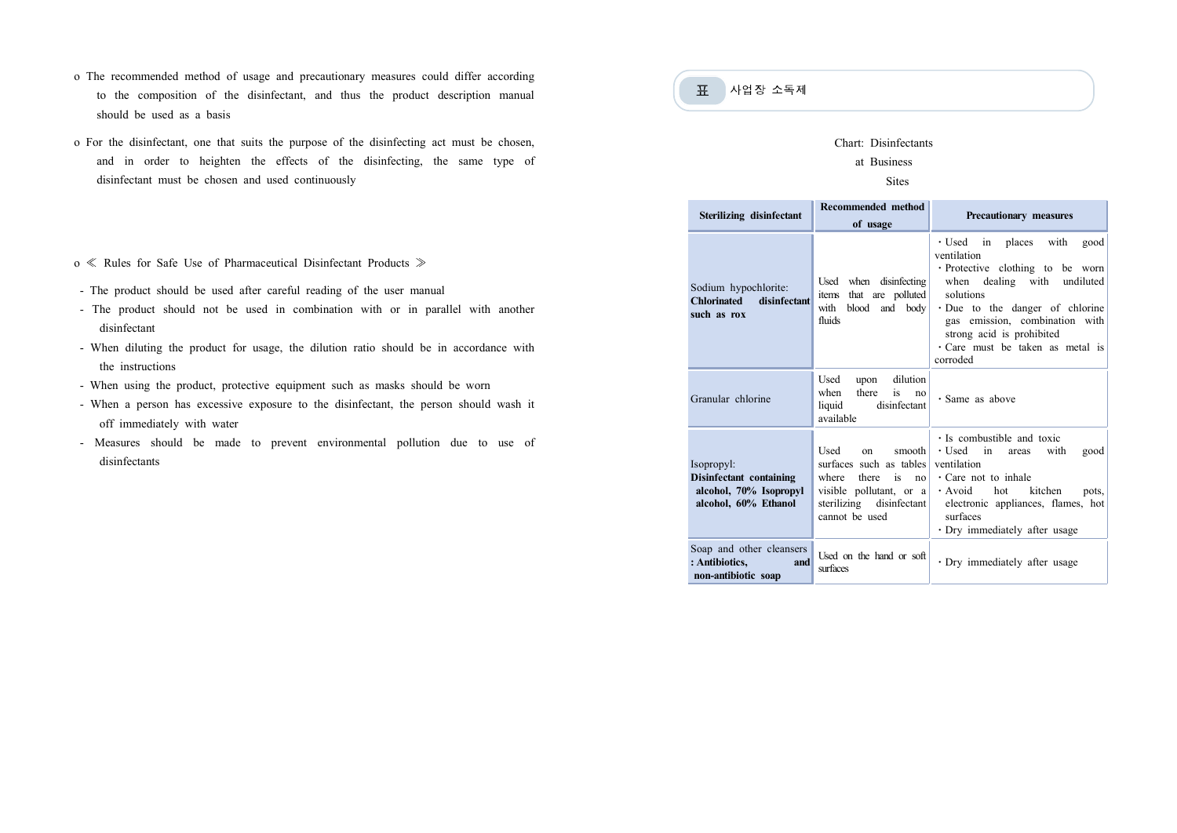- o The recommended method of usage and precautionary measures could differ according to the composition of the disinfectant, and thus the product description manual should be used as a basis
- o For the disinfectant, one that suits the purpose of the disinfecting act must be chosen, and in order to heighten the effects of the disinfecting, the same type of disinfectant must be chosen and used continuously
- o ≪ Rules for Safe Use of Pharmaceutical Disinfectant Products ≫
- The product should be used after careful reading of the user manual
- The product should not be used in combination with or in parallel with another disinfectant
- When diluting the product for usage, the dilution ratio should be in accordance with the instructions
- When using the product, protective equipment such as masks should be worn
- When a person has excessive exposure to the disinfectant, the person should wash it off immediately with water
- Measures should be made to prevent environmental pollution due to use of disinfectants

# 표 사업장 소독제

## Chart: Disinfectants

## at Business

## Sites

| Sterilizing disinfectant                                                                | <b>Recommended method</b><br>of usage                                                                                                               | Precautionary measures                                                                                                                                                                                                                                                                  |
|-----------------------------------------------------------------------------------------|-----------------------------------------------------------------------------------------------------------------------------------------------------|-----------------------------------------------------------------------------------------------------------------------------------------------------------------------------------------------------------------------------------------------------------------------------------------|
| Sodium hypochlorite:<br><b>Chlorinated</b><br>disinfectant<br>such as rox               | Used when disinfecting<br>items that are polluted<br>with blood and body<br>fluids                                                                  | · Used in places<br>with<br>good<br>ventilation<br>· Protective clothing to be worn<br>when dealing with undiluted<br>solutions<br>$\cdot$ Due to the danger of chlorine<br>gas emission, combination with<br>strong acid is prohibited<br>· Care must be taken as metal is<br>corroded |
| Granular chlorine                                                                       | dilution<br>Used<br>upon<br>there<br>is<br>when<br>n <sub>0</sub><br>liquid<br>disinfectant<br>available                                            | · Same as above                                                                                                                                                                                                                                                                         |
| Isopropyl:<br>Disinfectant containing<br>alcohol, 70% Isopropyl<br>alcohol, 60% Ethanol | Used<br>smooth<br>on<br>surfaces such as tables<br>where<br>there<br>is no<br>visible pollutant, or a<br>sterilizing disinfectant<br>cannot be used | $\cdot$ Is combustible and toxic<br>$\cdot$ Used in<br>with<br>good<br>areas<br>ventilation<br>$\cdot$ Care not to inhale<br>· Avoid hot kitchen<br>pots,<br>electronic appliances, flames, hot<br>surfaces<br>· Dry immediately after usage                                            |
| Soap and other cleansers<br>: Antibiotics,<br>and<br>non-antibiotic soap                | Used on the hand or soft<br>surfaces                                                                                                                | · Dry immediately after usage                                                                                                                                                                                                                                                           |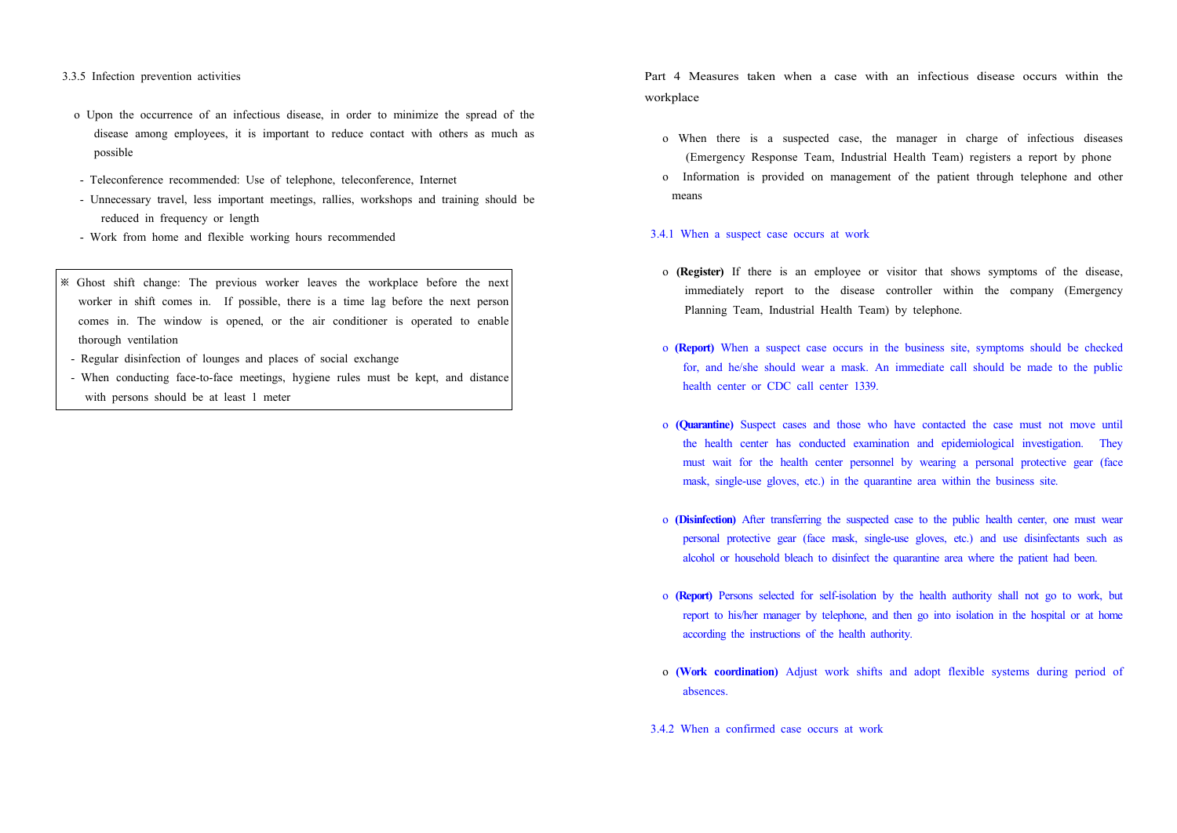3.3.5 Infection prevention activities

- o Upon the occurrence of an infectious disease, in order to minimize the spread of the disease among employees, it is important to reduce contact with others as much as possible
- Teleconference recommended: Use of telephone, teleconference, Internet
- Unnecessary travel, less important meetings, rallies, workshops and training should be reduced in frequency or length
- Work from home and flexible working hours recommended
- ※ Ghost shift change: The previous worker leaves the workplace before the next worker in shift comes in. If possible, there is a time lag before the next person comes in. The window is opened, or the air conditioner is operated to enable thorough ventilation
- Regular disinfection of lounges and places of social exchange
- When conducting face-to-face meetings, hygiene rules must be kept, and distance with persons should be at least 1 meter

Part 4 Measures taken when a case with an infectious disease occurs within the workplace

- o When there is a suspected case, the manager in charge of infectious diseases (Emergency Response Team, Industrial Health Team) registers a report by phone
- o Information is provided on management of the patient through telephone and other means

### 3.4.1 When a suspect case occurs at work

- o **(Register)** If there is an employee or visitor that shows symptoms of the disease, immediately report to the disease controller within the company (Emergency Planning Team, Industrial Health Team) by telephone.
- o **(Report)** When a suspect case occurs in the business site, symptoms should be checked for, and he/she should wear a mask. An immediate call should be made to the public health center or CDC call center 1339.
- o **(Quarantine)** Suspect cases and those who have contacted the case must not move until the health center has conducted examination and epidemiological investigation. They must wait for the health center personnel by wearing a personal protective gear (face mask, single-use gloves, etc.) in the quarantine area within the business site.
- o (Disinfection) After transferring the suspected case to the public health center, one must wear<br>personal protective gear (face mask, single-use gloves, etc.) and use disinfectants such as<br>alcohol or household bleach to d
- o **(Report)** Persons selected for self-isolation by the health authority shall not go to work, but report to his/her manager by telephone, and then go into isolation in the hospital or at home according the instructions of the health authority.
- o **(Work coordination)** Adjust work shifts and adopt flexible systems during period of absences.
- 3.4.2 When a confirmed case occurs at work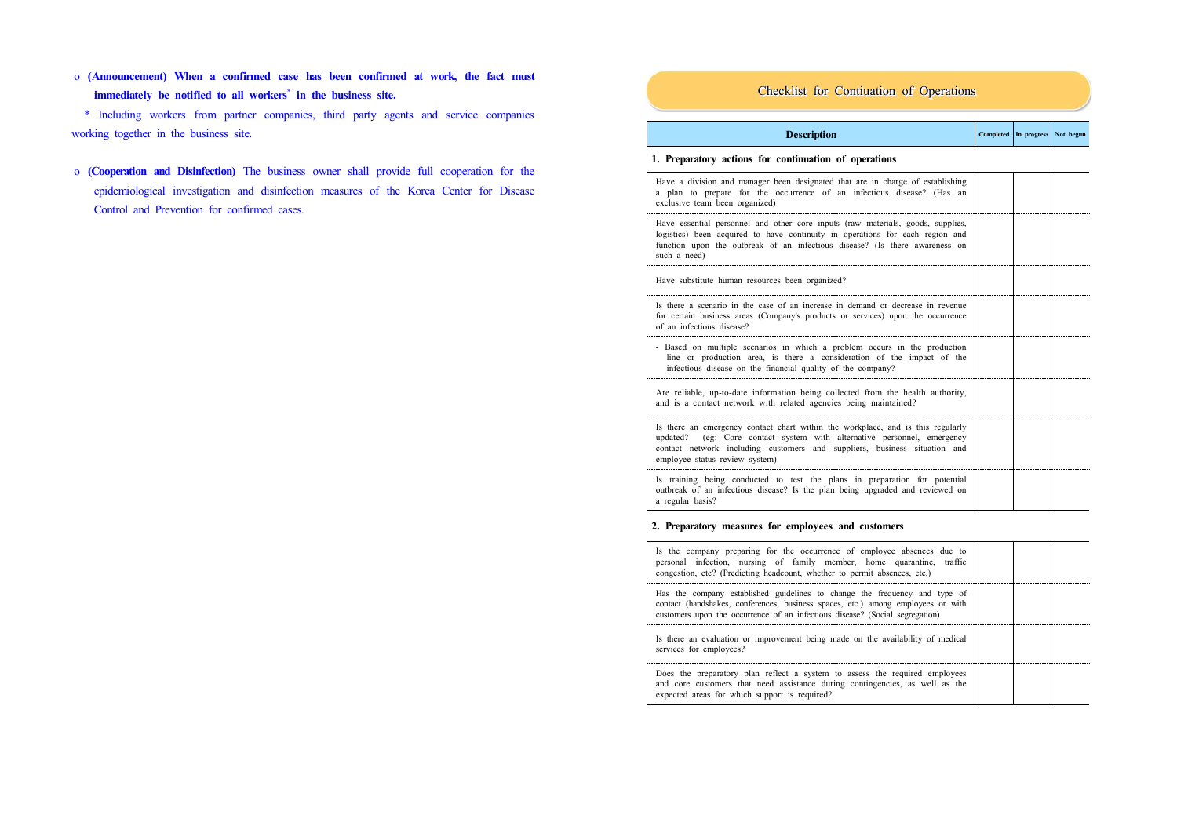o **(Announcement) When a confirmed case has been confirmed at work, the fact must immediately be notified to all workers**\* **in the business site.**

 \* Including workers from partner companies, third party agents and service companies working together in the business site.

 o **(Cooperation and Disinfection)** The business owner shall provide full cooperation for the epidemiological investigation and disinfection measures of the Korea Center for Disease Control and Prevention for confirmed cases.

## Checklist for Contiuation of Operations

| Completed In progress Not begun<br><b>Description</b> |
|-------------------------------------------------------|
|-------------------------------------------------------|

## **1. Preparatory actions for continuation of operations**

| Have a division and manager been designated that are in charge of establishing<br>a plan to prepare for the occurrence of an infectious disease? (Has an<br>exclusive team been organized)                                                                                |  |  |
|---------------------------------------------------------------------------------------------------------------------------------------------------------------------------------------------------------------------------------------------------------------------------|--|--|
| Have essential personnel and other core inputs (raw materials, goods, supplies,<br>logistics) been acquired to have continuity in operations for each region and<br>function upon the outbreak of an infectious disease? (Is there awareness on<br>such a need)           |  |  |
| Have substitute human resources been organized?                                                                                                                                                                                                                           |  |  |
| Is there a scenario in the case of an increase in demand or decrease in revenue<br>for certain business areas (Company's products or services) upon the occurrence<br>of an infectious disease?                                                                           |  |  |
| - Based on multiple scenarios in which a problem occurs in the production<br>line or production area, is there a consideration of the impact of the<br>infectious disease on the financial quality of the company?                                                        |  |  |
| Are reliable, up-to-date information being collected from the health authority,<br>and is a contact network with related agencies being maintained?                                                                                                                       |  |  |
| Is there an emergency contact chart within the workplace, and is this regularly<br>updated? (eg: Core contact system with alternative personnel, emergency<br>contact network including customers and suppliers, business situation and<br>employee status review system) |  |  |
| Is training being conducted to test the plans in preparation for potential<br>outbreak of an infectious disease? Is the plan being upgraded and reviewed on<br>a regular basis?                                                                                           |  |  |

## **2. Preparatory measures for employees and customers**

| Is the company preparing for the occurrence of employee absences due to<br>personal infection, nursing of family member, home quarantine, traffic<br>congestion, etc? (Predicting headcount, whether to permit absences, etc.)                 |  |  |
|------------------------------------------------------------------------------------------------------------------------------------------------------------------------------------------------------------------------------------------------|--|--|
| Has the company established guidelines to change the frequency and type of<br>contact (handshakes, conferences, business spaces, etc.) among employees or with<br>customers upon the occurrence of an infectious disease? (Social segregation) |  |  |
| Is there an evaluation or improvement being made on the availability of medical<br>services for employees?                                                                                                                                     |  |  |
| Does the preparatory plan reflect a system to assess the required employees<br>and core customers that need assistance during contingencies, as well as the<br>expected areas for which support is required?                                   |  |  |